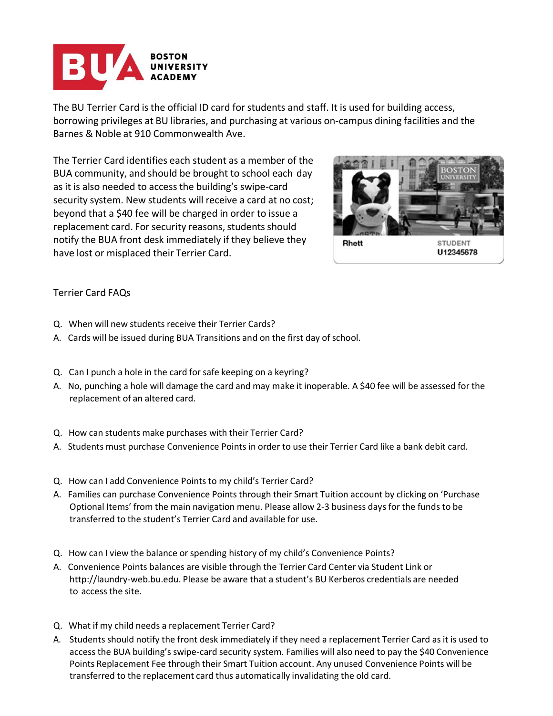

The BU Terrier Card is the official ID card for students and staff. It is used for building access, borrowing privileges at BU libraries, and purchasing at various on-campus dining facilities and the Barnes & Noble at 910 Commonwealth Ave.

The Terrier Card identifies each student as a member of the BUA community, and should be brought to school each day as it is also needed to accessthe building's swipe-card security system. New students will receive a card at no cost; beyond that a \$40 fee will be charged in order to issue a replacement card. For security reasons, students should notify the BUA front desk immediately if they believe they have lost or misplaced their Terrier Card.



## Terrier Card FAQs

- Q. When will new students receive their Terrier Cards?
- A. Cards will be issued during BUA Transitions and on the first day of school.
- Q. Can I punch a hole in the card for safe keeping on a keyring?
- A. No, punching a hole will damage the card and may make it inoperable. A \$40 fee will be assessed for the replacement of an altered card.
- Q. How can students make purchases with their Terrier Card?
- A. Students must purchase Convenience Points in order to use their Terrier Card like a bank debit card.
- Q. How can I add Convenience Points to my child's Terrier Card?
- A. Families can purchase Convenience Points through their Smart Tuition account by clicking on 'Purchase Optional Items' from the main navigation menu. Please allow 2-3 business days for the funds to be transferred to the student's Terrier Card and available for use.
- Q. How can I view the balance or spending history of my child's Convenience Points?
- A. Convenience Points balances are visible through the Terrier Card Center via Student Link o[r](http://laundry-web.bu.edu/) [http://laundry-web.bu.edu.](http://laundry-web.bu.edu/) Please be aware that a student's BU Kerberos credentials are needed to access the site.
- Q. What if my child needs a replacement Terrier Card?
- A. Students should notify the front desk immediately if they need a replacement Terrier Card as it is used to access the BUA building's swipe-card security system. Families will also need to pay the \$40 Convenience Points Replacement Fee through their Smart Tuition account. Any unused Convenience Points will be transferred to the replacement card thus automatically invalidating the old card.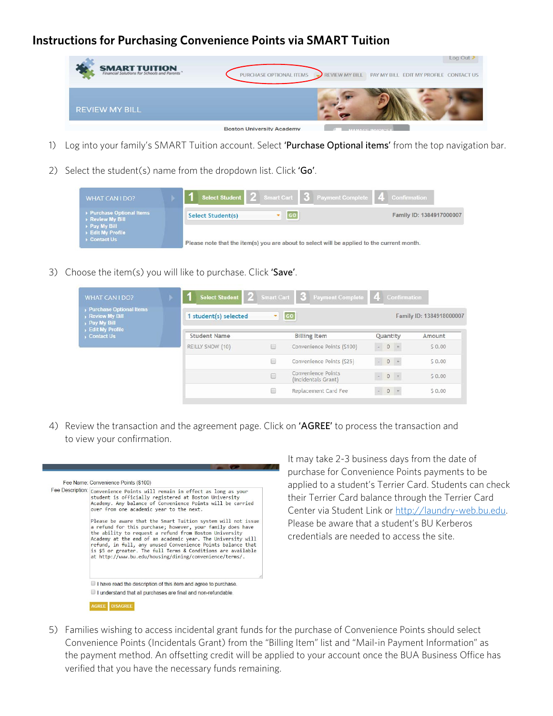## **Instructions for Purchasing Convenience Points via SMART Tuition**

| <b>SMART TUITION</b><br>Financial Solutions for Schools and Parents | PURCHASE OPTIONAL ITEMS          | <b>REVIEW MY BILL</b> | Log Out<br>PAY MY BILL EDIT MY PROFILE CONTACT US |
|---------------------------------------------------------------------|----------------------------------|-----------------------|---------------------------------------------------|
| <b>REVIEW MY BILL</b>                                               |                                  |                       |                                                   |
|                                                                     | <b>Boston University Academy</b> |                       | $BIAB1A C1$ in $D1C1C1$                           |

- 1) Log into your family's SMART Tuition account. Select 'Purchase Optional items' from the top navigation bar.
- 2) Select the student(s) name from the dropdown list. Click 'Go'.

| WHAT CAN I DO?                               |                                                                                            | Select Student 2 Smart Cart 3 Payment Complete 4 Confirmation |                          |
|----------------------------------------------|--------------------------------------------------------------------------------------------|---------------------------------------------------------------|--------------------------|
| ▶ Purchase Optional Items<br>Review My Bill  | Select Student(s)                                                                          |                                                               | Family ID: 1384917000007 |
| Pay My Bill<br>Edit My Profile<br>Contact Us | Please note that the item(s) you are about to select will be applied to the current month. |                                                               |                          |

3) Choose the item(s) you will like to purchase. Click 'Save'.

| WHAT CAN I DO?                                           | Select Student 2 Smart Cart 3 Payment Complete 4 Confirmation |                           |                                           |                 |                                           |     |                          |
|----------------------------------------------------------|---------------------------------------------------------------|---------------------------|-------------------------------------------|-----------------|-------------------------------------------|-----|--------------------------|
| Purchase Optional Items<br>Review My Bill<br>Pay My Bill | student(s) selected                                           | $\bullet$ 60              |                                           |                 |                                           |     | Family ID: 1384918000007 |
| Edit My Profile<br>Contact Us                            | <b>Student Name</b>                                           |                           | <b>Billing Item</b>                       | <b>Ouantity</b> |                                           |     | Amount                   |
|                                                          | REILLY SNOW (10)                                              | n                         | Convenience Points (\$100)                |                 | $\begin{array}{cc} - & 0 & + \end{array}$ |     | 50.00                    |
|                                                          |                                                               | $\langle \hat{z} \rangle$ | Convenience Points (\$25)                 |                 | $-0$                                      | $+$ | \$0.00                   |
|                                                          |                                                               | 同                         | Convenience Points<br>(Incidentals Grant) |                 | $-0$ +                                    |     | 50.00                    |
|                                                          |                                                               | O                         | Replacement Card Fee                      |                 | $= 0 +$                                   |     | \$0.00                   |

4) Review the transaction and the agreement page. Click on 'AGREE' to process the transaction and to view your confirmation.

| Fee Name: Convenience Points (\$100)                                                                                                                                                                                                                                                                                                                                                                                                          |
|-----------------------------------------------------------------------------------------------------------------------------------------------------------------------------------------------------------------------------------------------------------------------------------------------------------------------------------------------------------------------------------------------------------------------------------------------|
| Fee Description: Convenience Points will remain in effect as long as your<br>student is officially registered at Boston University<br>Academy, Any balance of Convenience Points will be carried<br>over from one academic year to the next.                                                                                                                                                                                                  |
| Please be aware that the Smart Tuition system will not issue<br>a refund for this purchase; however, your family does have<br>the ability to request a refund from Boston University<br>Academy at the end of an academic year. The University will<br>refund, in full, any unused Convenience Points balance that<br>is \$5 or greater. The full Terms & Conditions are available<br>at http://www.bu.edu/housing/dining/convenience/terms/. |
| $\Box$ I have read the description of this item and agree to purchase.                                                                                                                                                                                                                                                                                                                                                                        |
| $\Box$ I understand that all purchases are final and non-refundable.                                                                                                                                                                                                                                                                                                                                                                          |

It may take 2-3 business days from the date of purchase for Convenience Points payments to be applied to a student's Terrier Card. Students can check their Terrier Card balance through the Terrier Card Center via Student Link or http://laundry-web.bu.edu. Please be aware that a student's BU Kerberos credentials are needed to access the site.

5) Families wishing to access incidental grant funds for the purchase of Convenience Points should select Convenience Points (Incidentals Grant) from the "Billing Item" list and "Mail-in Payment Information" as the payment method. An offsetting credit will be applied to your account once the BUA Business Office has verified that you have the necessary funds remaining.